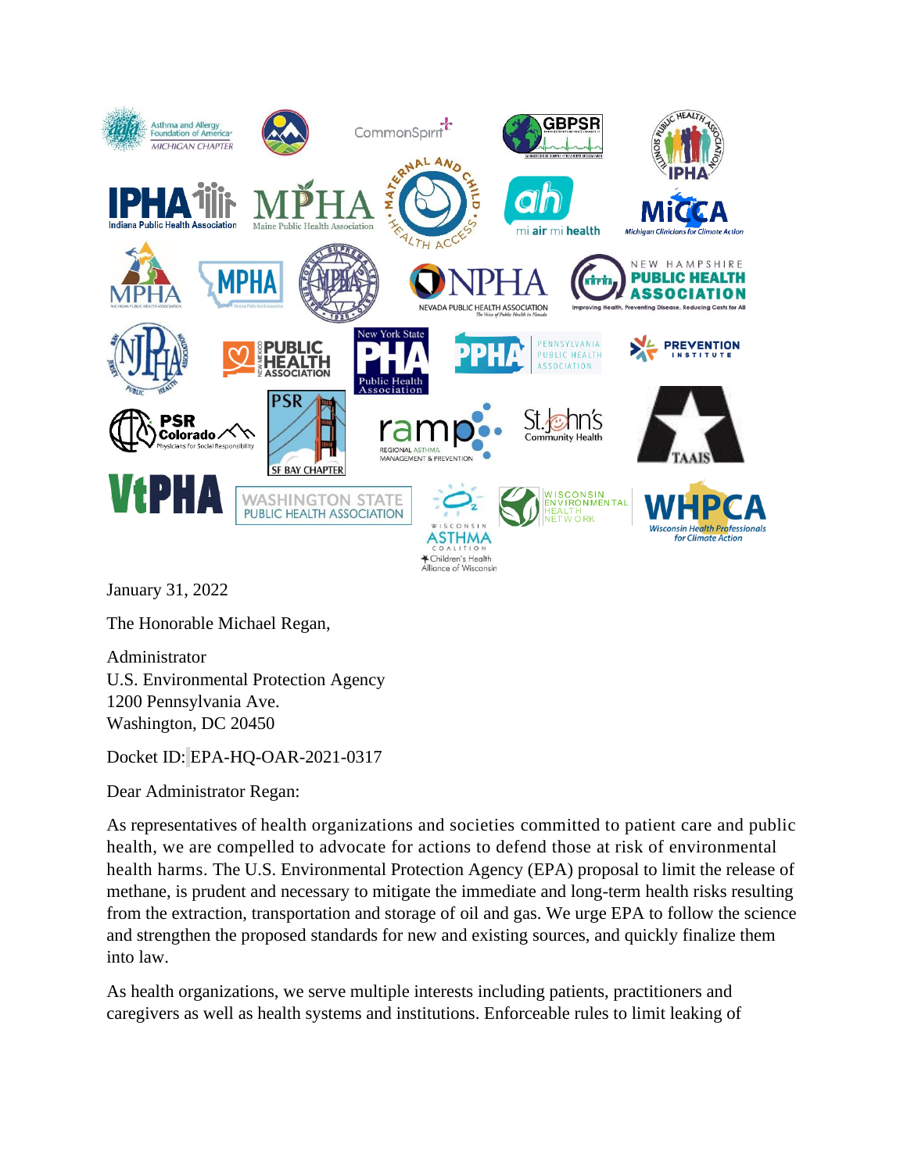

January 31, 2022

The Honorable Michael Regan,

Administrator U.S. Environmental Protection Agency 1200 Pennsylvania Ave. Washington, DC 20450

Docket ID: EPA-HQ-OAR-2021-0317

Dear Administrator Regan:

As representatives of health organizations and societies committed to patient care and public health, we are compelled to advocate for actions to defend those at risk of environmental health harms. The U.S. Environmental Protection Agency (EPA) proposal to limit the release of methane, is prudent and necessary to mitigate the immediate and long-term health risks resulting from the extraction, transportation and storage of oil and gas. We urge EPA to follow the science and strengthen the proposed standards for new and existing sources, and quickly finalize them into law.

As health organizations, we serve multiple interests including patients, practitioners and caregivers as well as health systems and institutions. Enforceable rules to limit leaking of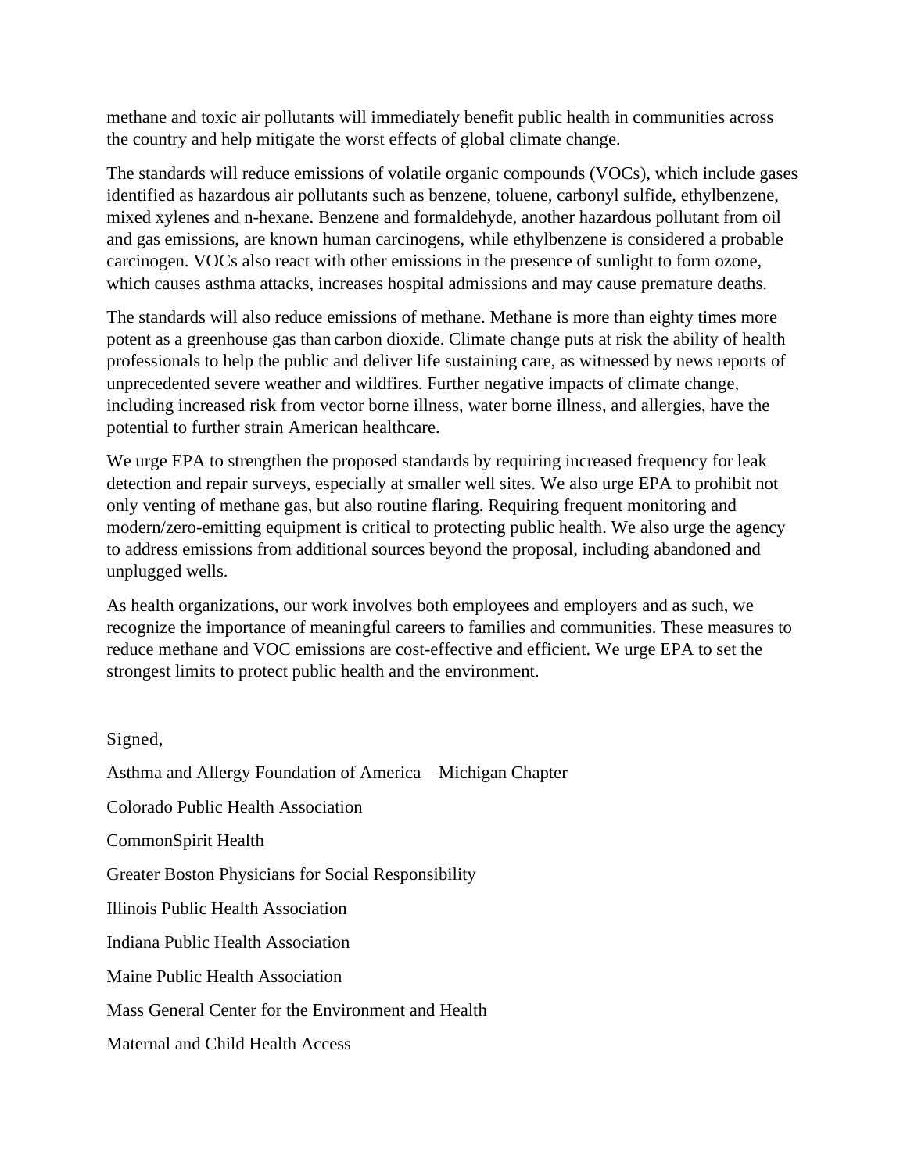methane and toxic air pollutants will immediately benefit public health in communities across the country and help mitigate the worst effects of global climate change.

The standards will reduce emissions of volatile organic compounds (VOCs), which include gases identified as hazardous air pollutants such as benzene, toluene, carbonyl sulfide, ethylbenzene, mixed xylenes and n-hexane. Benzene and formaldehyde, another hazardous pollutant from oil and gas emissions, are known human carcinogens, while ethylbenzene is considered a probable carcinogen. VOCs also react with other emissions in the presence of sunlight to form ozone, which causes asthma attacks, increases hospital admissions and may cause premature deaths.

The standards will also reduce emissions of methane. Methane is more than eighty times more potent as a greenhouse gas than carbon dioxide. Climate change puts at risk the ability of health professionals to help the public and deliver life sustaining care, as witnessed by news reports of unprecedented severe weather and wildfires. Further negative impacts of climate change, including increased risk from vector borne illness, water borne illness, and allergies, have the potential to further strain American healthcare.

We urge EPA to strengthen the proposed standards by requiring increased frequency for leak detection and repair surveys, especially at smaller well sites. We also urge EPA to prohibit not only venting of methane gas, but also routine flaring. Requiring frequent monitoring and modern/zero-emitting equipment is critical to protecting public health. We also urge the agency to address emissions from additional sources beyond the proposal, including abandoned and unplugged wells.

As health organizations, our work involves both employees and employers and as such, we recognize the importance of meaningful careers to families and communities. These measures to reduce methane and VOC emissions are cost-effective and efficient. We urge EPA to set the strongest limits to protect public health and the environment.

Signed,

Asthma and Allergy Foundation of America – Michigan Chapter Colorado Public Health Association CommonSpirit Health Greater Boston Physicians for Social Responsibility Illinois Public Health Association Indiana Public Health Association Maine Public Health Association Mass General Center for the Environment and Health Maternal and Child Health Access